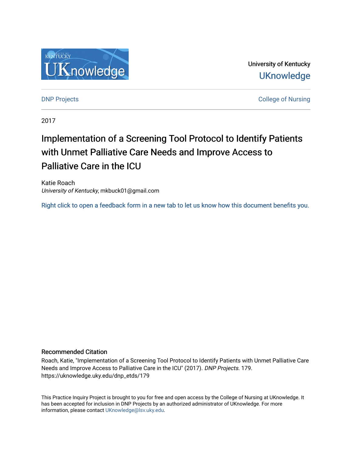

University of Kentucky **UKnowledge** 

**DNP Projects** College of Nursing

2017

# Implementation of a Screening Tool Protocol to Identify Patients with Unmet Palliative Care Needs and Improve Access to Palliative Care in the ICU

Katie Roach University of Kentucky, mkbuck01@gmail.com

[Right click to open a feedback form in a new tab to let us know how this document benefits you.](https://uky.az1.qualtrics.com/jfe/form/SV_9mq8fx2GnONRfz7)

#### Recommended Citation

Roach, Katie, "Implementation of a Screening Tool Protocol to Identify Patients with Unmet Palliative Care Needs and Improve Access to Palliative Care in the ICU" (2017). DNP Projects. 179. https://uknowledge.uky.edu/dnp\_etds/179

This Practice Inquiry Project is brought to you for free and open access by the College of Nursing at UKnowledge. It has been accepted for inclusion in DNP Projects by an authorized administrator of UKnowledge. For more information, please contact [UKnowledge@lsv.uky.edu](mailto:UKnowledge@lsv.uky.edu).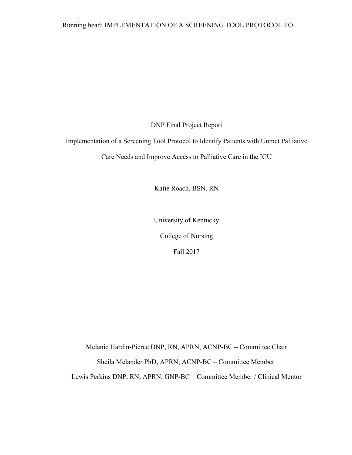DNP Final Project Report

Implementation of a Screening Tool Protocol to Identify Patients with Unmet Palliative

Care Needs and Improve Access to Palliative Care in the ICU

Katie Roach, BSN, RN

University of Kentucky

College of Nursing

Fall 2017

Melanie Hardin-Pierce DNP, RN, APRN, ACNP-BC – Committee Chair Sheila Melander PhD, APRN, ACNP-BC – Committee Member Lewis Perkins DNP, RN, APRN, GNP-BC – Committee Member / Clinical Mentor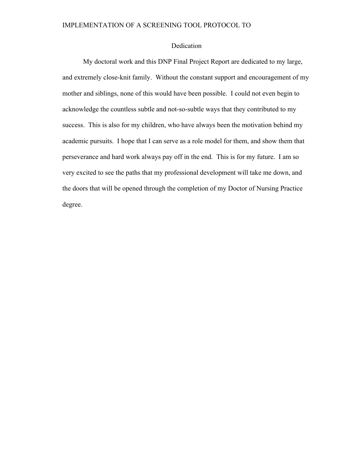### Dedication

My doctoral work and this DNP Final Project Report are dedicated to my large, and extremely close-knit family. Without the constant support and encouragement of my mother and siblings, none of this would have been possible. I could not even begin to acknowledge the countless subtle and not-so-subtle ways that they contributed to my success. This is also for my children, who have always been the motivation behind my academic pursuits. I hope that I can serve as a role model for them, and show them that perseverance and hard work always pay off in the end. This is for my future. I am so very excited to see the paths that my professional development will take me down, and the doors that will be opened through the completion of my Doctor of Nursing Practice degree.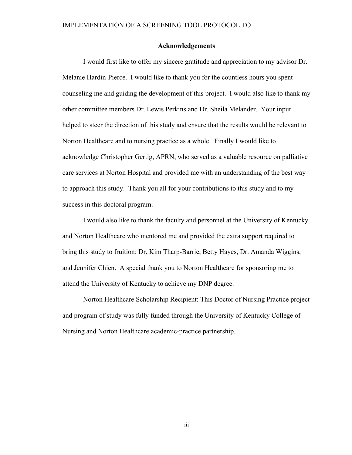#### **Acknowledgements**

I would first like to offer my sincere gratitude and appreciation to my advisor Dr. Melanie Hardin-Pierce. I would like to thank you for the countless hours you spent counseling me and guiding the development of this project. I would also like to thank my other committee members Dr. Lewis Perkins and Dr. Sheila Melander. Your input helped to steer the direction of this study and ensure that the results would be relevant to Norton Healthcare and to nursing practice as a whole. Finally I would like to acknowledge Christopher Gertig, APRN, who served as a valuable resource on palliative care services at Norton Hospital and provided me with an understanding of the best way to approach this study. Thank you all for your contributions to this study and to my success in this doctoral program.

I would also like to thank the faculty and personnel at the University of Kentucky and Norton Healthcare who mentored me and provided the extra support required to bring this study to fruition: Dr. Kim Tharp-Barrie, Betty Hayes, Dr. Amanda Wiggins, and Jennifer Chien. A special thank you to Norton Healthcare for sponsoring me to attend the University of Kentucky to achieve my DNP degree.

Norton Healthcare Scholarship Recipient: This Doctor of Nursing Practice project and program of study was fully funded through the University of Kentucky College of Nursing and Norton Healthcare academic-practice partnership.

iii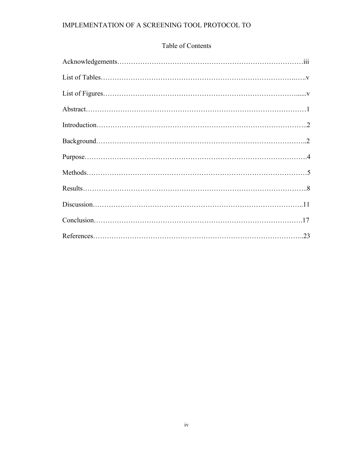# Table of Contents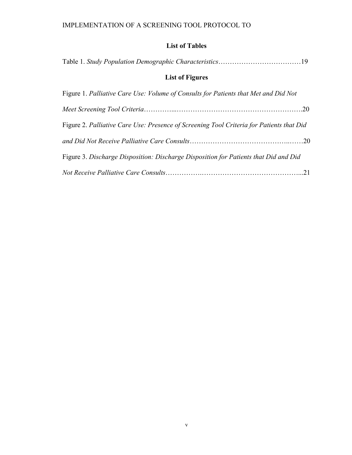# **List of Tables**

| <b>List of Figures</b>                                                                   |  |  |  |  |
|------------------------------------------------------------------------------------------|--|--|--|--|
| Figure 1. Palliative Care Use: Volume of Consults for Patients that Met and Did Not      |  |  |  |  |
|                                                                                          |  |  |  |  |
| Figure 2. Palliative Care Use: Presence of Screening Tool Criteria for Patients that Did |  |  |  |  |
|                                                                                          |  |  |  |  |
| Figure 3. Discharge Disposition: Discharge Disposition for Patients that Did and Did     |  |  |  |  |
|                                                                                          |  |  |  |  |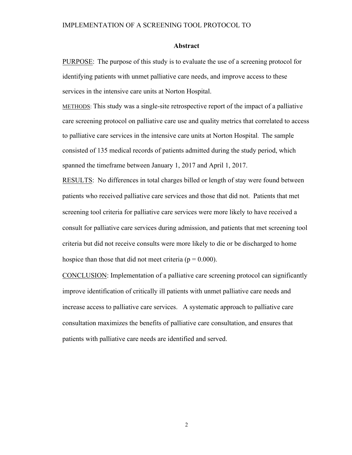#### **Abstract**

PURPOSE: The purpose of this study is to evaluate the use of a screening protocol for identifying patients with unmet palliative care needs, and improve access to these services in the intensive care units at Norton Hospital.

METHODS: This study was a single-site retrospective report of the impact of a palliative care screening protocol on palliative care use and quality metrics that correlated to access to palliative care services in the intensive care units at Norton Hospital. The sample consisted of 135 medical records of patients admitted during the study period, which spanned the timeframe between January 1, 2017 and April 1, 2017.

RESULTS: No differences in total charges billed or length of stay were found between patients who received palliative care services and those that did not. Patients that met screening tool criteria for palliative care services were more likely to have received a consult for palliative care services during admission, and patients that met screening tool criteria but did not receive consults were more likely to die or be discharged to home hospice than those that did not meet criteria ( $p = 0.000$ ).

CONCLUSION: Implementation of a palliative care screening protocol can significantly improve identification of critically ill patients with unmet palliative care needs and increase access to palliative care services. A systematic approach to palliative care consultation maximizes the benefits of palliative care consultation, and ensures that patients with palliative care needs are identified and served.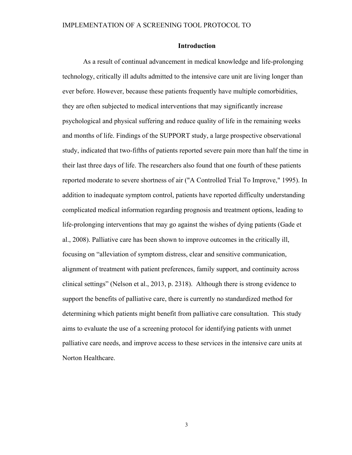#### **Introduction**

As a result of continual advancement in medical knowledge and life-prolonging technology, critically ill adults admitted to the intensive care unit are living longer than ever before. However, because these patients frequently have multiple comorbidities, they are often subjected to medical interventions that may significantly increase psychological and physical suffering and reduce quality of life in the remaining weeks and months of life. Findings of the SUPPORT study, a large prospective observational study, indicated that two-fifths of patients reported severe pain more than half the time in their last three days of life. The researchers also found that one fourth of these patients reported moderate to severe shortness of air ("A Controlled Trial To Improve," 1995). In addition to inadequate symptom control, patients have reported difficulty understanding complicated medical information regarding prognosis and treatment options, leading to life-prolonging interventions that may go against the wishes of dying patients (Gade et al., 2008). Palliative care has been shown to improve outcomes in the critically ill, focusing on "alleviation of symptom distress, clear and sensitive communication, alignment of treatment with patient preferences, family support, and continuity across clinical settings" (Nelson et al., 2013, p. 2318). Although there is strong evidence to support the benefits of palliative care, there is currently no standardized method for determining which patients might benefit from palliative care consultation. This study aims to evaluate the use of a screening protocol for identifying patients with unmet palliative care needs, and improve access to these services in the intensive care units at Norton Healthcare.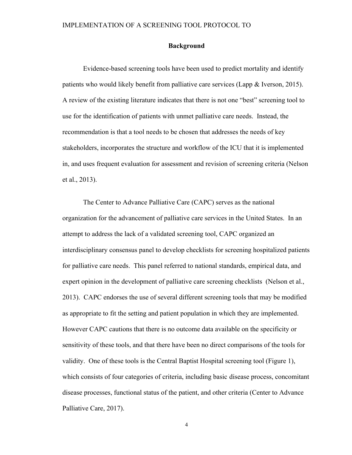#### **Background**

Evidence-based screening tools have been used to predict mortality and identify patients who would likely benefit from palliative care services (Lapp & Iverson, 2015). A review of the existing literature indicates that there is not one "best" screening tool to use for the identification of patients with unmet palliative care needs. Instead, the recommendation is that a tool needs to be chosen that addresses the needs of key stakeholders, incorporates the structure and workflow of the ICU that it is implemented in, and uses frequent evaluation for assessment and revision of screening criteria (Nelson et al., 2013).

The Center to Advance Palliative Care (CAPC) serves as the national organization for the advancement of palliative care services in the United States. In an attempt to address the lack of a validated screening tool, CAPC organized an interdisciplinary consensus panel to develop checklists for screening hospitalized patients for palliative care needs. This panel referred to national standards, empirical data, and expert opinion in the development of palliative care screening checklists (Nelson et al., 2013). CAPC endorses the use of several different screening tools that may be modified as appropriate to fit the setting and patient population in which they are implemented. However CAPC cautions that there is no outcome data available on the specificity or sensitivity of these tools, and that there have been no direct comparisons of the tools for validity. One of these tools is the Central Baptist Hospital screening tool (Figure 1), which consists of four categories of criteria, including basic disease process, concomitant disease processes, functional status of the patient, and other criteria (Center to Advance Palliative Care, 2017).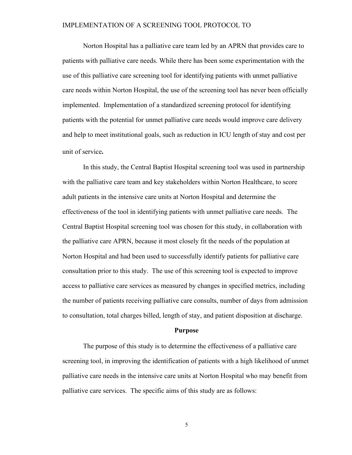Norton Hospital has a palliative care team led by an APRN that provides care to patients with palliative care needs. While there has been some experimentation with the use of this palliative care screening tool for identifying patients with unmet palliative care needs within Norton Hospital, the use of the screening tool has never been officially implemented. Implementation of a standardized screening protocol for identifying patients with the potential for unmet palliative care needs would improve care delivery and help to meet institutional goals, such as reduction in ICU length of stay and cost per unit of service. 

In this study, the Central Baptist Hospital screening tool was used in partnership with the palliative care team and key stakeholders within Norton Healthcare, to score adult patients in the intensive care units at Norton Hospital and determine the effectiveness of the tool in identifying patients with unmet palliative care needs. The Central Baptist Hospital screening tool was chosen for this study, in collaboration with the palliative care APRN, because it most closely fit the needs of the population at Norton Hospital and had been used to successfully identify patients for palliative care consultation prior to this study. The use of this screening tool is expected to improve access to palliative care services as measured by changes in specified metrics, including the number of patients receiving palliative care consults, number of days from admission to consultation, total charges billed, length of stay, and patient disposition at discharge.

#### **Purpose**

The purpose of this study is to determine the effectiveness of a palliative care screening tool, in improving the identification of patients with a high likelihood of unmet palliative care needs in the intensive care units at Norton Hospital who may benefit from palliative care services. The specific aims of this study are as follows: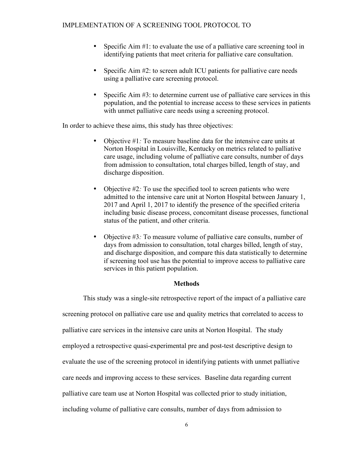- Specific Aim #1: to evaluate the use of a palliative care screening tool in identifying patients that meet criteria for palliative care consultation.
- Specific Aim #2: to screen adult ICU patients for palliative care needs using a palliative care screening protocol.
- Specific Aim #3: to determine current use of palliative care services in this population, and the potential to increase access to these services in patients with unmet palliative care needs using a screening protocol.

In order to achieve these aims, this study has three objectives:

- Objective #1*:* To measure baseline data for the intensive care units at Norton Hospital in Louisville, Kentucky on metrics related to palliative care usage, including volume of palliative care consults, number of days from admission to consultation, total charges billed, length of stay, and discharge disposition.
- Objective #2: To use the specified tool to screen patients who were admitted to the intensive care unit at Norton Hospital between January 1, 2017 and April 1, 2017 to identify the presence of the specified criteria including basic disease process, concomitant disease processes, functional status of the patient, and other criteria.
- Objective #3*:* To measure volume of palliative care consults, number of days from admission to consultation, total charges billed, length of stay, and discharge disposition, and compare this data statistically to determine if screening tool use has the potential to improve access to palliative care services in this patient population.

### **Methods**

This study was a single-site retrospective report of the impact of a palliative care screening protocol on palliative care use and quality metrics that correlated to access to palliative care services in the intensive care units at Norton Hospital. The study employed a retrospective quasi-experimental pre and post-test descriptive design to evaluate the use of the screening protocol in identifying patients with unmet palliative care needs and improving access to these services. Baseline data regarding current palliative care team use at Norton Hospital was collected prior to study initiation, including volume of palliative care consults, number of days from admission to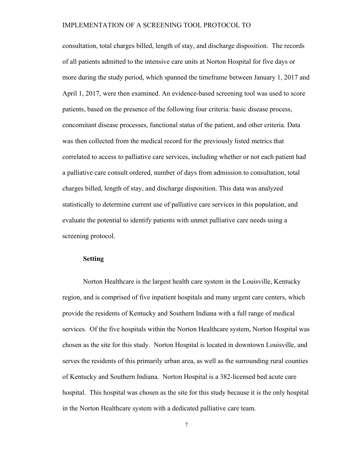consultation, total charges billed, length of stay, and discharge disposition. The records of all patients admitted to the intensive care units at Norton Hospital for five days or more during the study period, which spanned the timeframe between January 1, 2017 and April 1, 2017, were then examined. An evidence-based screening tool was used to score patients, based on the presence of the following four criteria: basic disease process, concomitant disease processes, functional status of the patient, and other criteria. Data was then collected from the medical record for the previously listed metrics that correlated to access to palliative care services, including whether or not each patient had a palliative care consult ordered, number of days from admission to consultation, total charges billed, length of stay, and discharge disposition. This data was analyzed statistically to determine current use of palliative care services in this population, and evaluate the potential to identify patients with unmet palliative care needs using a screening protocol.

#### **Setting**

Norton Healthcare is the largest health care system in the Louisville, Kentucky region, and is comprised of five inpatient hospitals and many urgent care centers, which provide the residents of Kentucky and Southern Indiana with a full range of medical services. Of the five hospitals within the Norton Healthcare system, Norton Hospital was chosen as the site for this study. Norton Hospital is located in downtown Louisville, and serves the residents of this primarily urban area, as well as the surrounding rural counties of Kentucky and Southern Indiana. Norton Hospital is a 382-licensed bed acute care hospital. This hospital was chosen as the site for this study because it is the only hospital in the Norton Healthcare system with a dedicated palliative care team.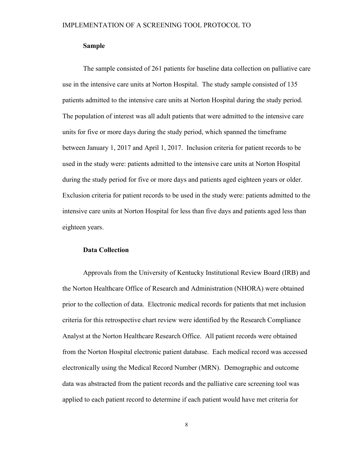#### **Sample**

The sample consisted of 261 patients for baseline data collection on palliative care use in the intensive care units at Norton Hospital. The study sample consisted of 135 patients admitted to the intensive care units at Norton Hospital during the study period. The population of interest was all adult patients that were admitted to the intensive care units for five or more days during the study period, which spanned the timeframe between January 1, 2017 and April 1, 2017. Inclusion criteria for patient records to be used in the study were: patients admitted to the intensive care units at Norton Hospital during the study period for five or more days and patients aged eighteen years or older. Exclusion criteria for patient records to be used in the study were: patients admitted to the intensive care units at Norton Hospital for less than five days and patients aged less than eighteen years.

#### **Data Collection**

Approvals from the University of Kentucky Institutional Review Board (IRB) and the Norton Healthcare Office of Research and Administration (NHORA) were obtained prior to the collection of data. Electronic medical records for patients that met inclusion criteria for this retrospective chart review were identified by the Research Compliance Analyst at the Norton Healthcare Research Office. All patient records were obtained from the Norton Hospital electronic patient database. Each medical record was accessed electronically using the Medical Record Number (MRN). Demographic and outcome data was abstracted from the patient records and the palliative care screening tool was applied to each patient record to determine if each patient would have met criteria for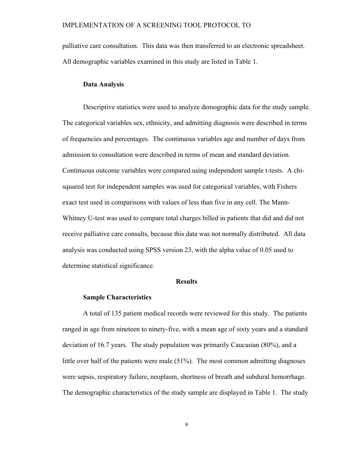palliative care consultation. This data was then transferred to an electronic spreadsheet. All demographic variables examined in this study are listed in Table 1.

#### **Data Analysis**

Descriptive statistics were used to analyze demographic data for the study sample. The categorical variables sex, ethnicity, and admitting diagnosis were described in terms of frequencies and percentages. The continuous variables age and number of days from admission to consultation were described in terms of mean and standard deviation. Continuous outcome variables were compared using independent sample t-tests. A chisquared test for independent samples was used for categorical variables, with Fishers exact test used in comparisons with values of less than five in any cell. The Mann-Whitney U-test was used to compare total charges billed in patients that did and did not receive palliative care consults, because this data was not normally distributed. All data analysis was conducted using SPSS version 23, with the alpha value of 0.05 used to determine statistical significance.

#### **Results**

#### **Sample Characteristics**

A total of 135 patient medical records were reviewed for this study. The patients ranged in age from nineteen to ninety-five, with a mean age of sixty years and a standard deviation of 16.7 years. The study population was primarily Caucasian (80%), and a little over half of the patients were male (51%). The most common admitting diagnoses were sepsis, respiratory failure, neoplasm, shortness of breath and subdural hemorrhage. The demographic characteristics of the study sample are displayed in Table 1. The study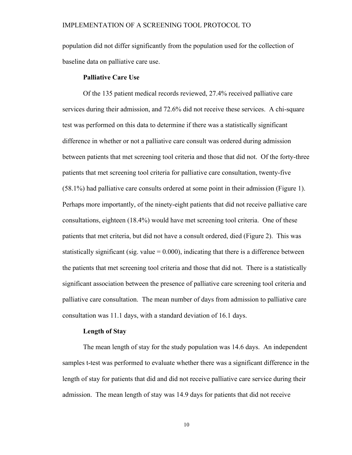population did not differ significantly from the population used for the collection of baseline data on palliative care use.

#### **Palliative Care Use**

Of the 135 patient medical records reviewed, 27.4% received palliative care services during their admission, and 72.6% did not receive these services. A chi-square test was performed on this data to determine if there was a statistically significant difference in whether or not a palliative care consult was ordered during admission between patients that met screening tool criteria and those that did not. Of the forty-three patients that met screening tool criteria for palliative care consultation, twenty-five (58.1%) had palliative care consults ordered at some point in their admission (Figure 1). Perhaps more importantly, of the ninety-eight patients that did not receive palliative care consultations, eighteen (18.4%) would have met screening tool criteria. One of these patients that met criteria, but did not have a consult ordered, died (Figure 2). This was statistically significant (sig. value  $= 0.000$ ), indicating that there is a difference between the patients that met screening tool criteria and those that did not. There is a statistically significant association between the presence of palliative care screening tool criteria and palliative care consultation. The mean number of days from admission to palliative care consultation was 11.1 days, with a standard deviation of 16.1 days.

#### **Length of Stay**

The mean length of stay for the study population was 14.6 days. An independent samples t-test was performed to evaluate whether there was a significant difference in the length of stay for patients that did and did not receive palliative care service during their admission. The mean length of stay was 14.9 days for patients that did not receive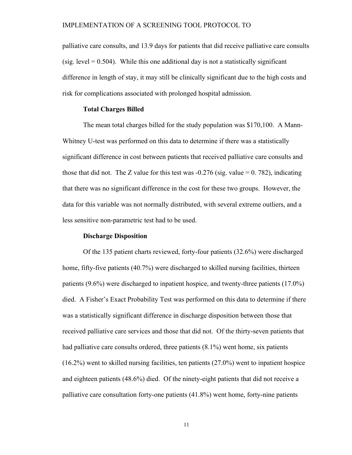palliative care consults, and 13.9 days for patients that did receive palliative care consults (sig. level  $= 0.504$ ). While this one additional day is not a statistically significant difference in length of stay, it may still be clinically significant due to the high costs and risk for complications associated with prolonged hospital admission.

#### **Total Charges Billed**

The mean total charges billed for the study population was \$170,100. A Mann-Whitney U-test was performed on this data to determine if there was a statistically significant difference in cost between patients that received palliative care consults and those that did not. The Z value for this test was  $-0.276$  (sig. value  $= 0.782$ ), indicating that there was no significant difference in the cost for these two groups. However, the data for this variable was not normally distributed, with several extreme outliers, and a less sensitive non-parametric test had to be used.

#### **Discharge Disposition**

Of the 135 patient charts reviewed, forty-four patients (32.6%) were discharged home, fifty-five patients (40.7%) were discharged to skilled nursing facilities, thirteen patients (9.6%) were discharged to inpatient hospice, and twenty-three patients (17.0%) died. A Fisher's Exact Probability Test was performed on this data to determine if there was a statistically significant difference in discharge disposition between those that received palliative care services and those that did not. Of the thirty-seven patients that had palliative care consults ordered, three patients (8.1%) went home, six patients (16.2%) went to skilled nursing facilities, ten patients (27.0%) went to inpatient hospice and eighteen patients (48.6%) died. Of the ninety-eight patients that did not receive a palliative care consultation forty-one patients (41.8%) went home, forty-nine patients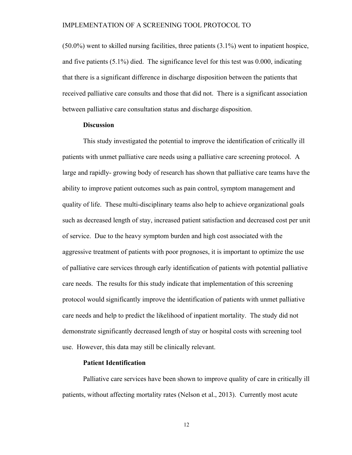(50.0%) went to skilled nursing facilities, three patients (3.1%) went to inpatient hospice, and five patients (5.1%) died. The significance level for this test was 0.000, indicating that there is a significant difference in discharge disposition between the patients that received palliative care consults and those that did not. There is a significant association between palliative care consultation status and discharge disposition.

#### **Discussion**

This study investigated the potential to improve the identification of critically ill patients with unmet palliative care needs using a palliative care screening protocol. A large and rapidly- growing body of research has shown that palliative care teams have the ability to improve patient outcomes such as pain control, symptom management and quality of life. These multi-disciplinary teams also help to achieve organizational goals such as decreased length of stay, increased patient satisfaction and decreased cost per unit of service. Due to the heavy symptom burden and high cost associated with the aggressive treatment of patients with poor prognoses, it is important to optimize the use of palliative care services through early identification of patients with potential palliative care needs. The results for this study indicate that implementation of this screening protocol would significantly improve the identification of patients with unmet palliative care needs and help to predict the likelihood of inpatient mortality. The study did not demonstrate significantly decreased length of stay or hospital costs with screening tool use. However, this data may still be clinically relevant.

#### **Patient Identification**

Palliative care services have been shown to improve quality of care in critically ill patients, without affecting mortality rates (Nelson et al., 2013). Currently most acute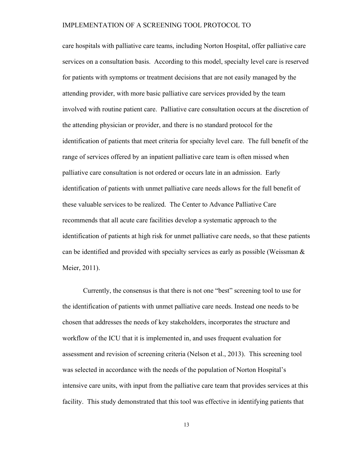care hospitals with palliative care teams, including Norton Hospital, offer palliative care services on a consultation basis. According to this model, specialty level care is reserved for patients with symptoms or treatment decisions that are not easily managed by the attending provider, with more basic palliative care services provided by the team involved with routine patient care. Palliative care consultation occurs at the discretion of the attending physician or provider, and there is no standard protocol for the identification of patients that meet criteria for specialty level care. The full benefit of the range of services offered by an inpatient palliative care team is often missed when palliative care consultation is not ordered or occurs late in an admission. Early identification of patients with unmet palliative care needs allows for the full benefit of these valuable services to be realized. The Center to Advance Palliative Care recommends that all acute care facilities develop a systematic approach to the identification of patients at high risk for unmet palliative care needs, so that these patients can be identified and provided with specialty services as early as possible (Weissman  $\&$ Meier, 2011).

Currently, the consensus is that there is not one "best" screening tool to use for the identification of patients with unmet palliative care needs. Instead one needs to be chosen that addresses the needs of key stakeholders, incorporates the structure and workflow of the ICU that it is implemented in, and uses frequent evaluation for assessment and revision of screening criteria (Nelson et al., 2013). This screening tool was selected in accordance with the needs of the population of Norton Hospital's intensive care units, with input from the palliative care team that provides services at this facility. This study demonstrated that this tool was effective in identifying patients that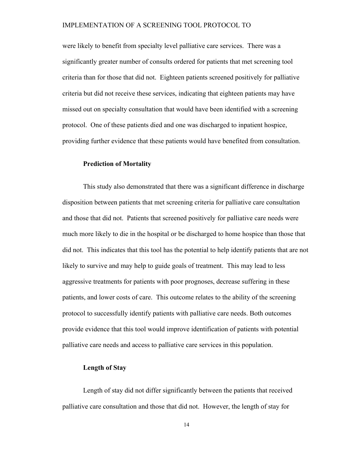were likely to benefit from specialty level palliative care services. There was a significantly greater number of consults ordered for patients that met screening tool criteria than for those that did not. Eighteen patients screened positively for palliative criteria but did not receive these services, indicating that eighteen patients may have missed out on specialty consultation that would have been identified with a screening protocol. One of these patients died and one was discharged to inpatient hospice, providing further evidence that these patients would have benefited from consultation.

#### **Prediction of Mortality**

This study also demonstrated that there was a significant difference in discharge disposition between patients that met screening criteria for palliative care consultation and those that did not. Patients that screened positively for palliative care needs were much more likely to die in the hospital or be discharged to home hospice than those that did not. This indicates that this tool has the potential to help identify patients that are not likely to survive and may help to guide goals of treatment. This may lead to less aggressive treatments for patients with poor prognoses, decrease suffering in these patients, and lower costs of care. This outcome relates to the ability of the screening protocol to successfully identify patients with palliative care needs. Both outcomes provide evidence that this tool would improve identification of patients with potential palliative care needs and access to palliative care services in this population.

### **Length of Stay**

Length of stay did not differ significantly between the patients that received palliative care consultation and those that did not. However, the length of stay for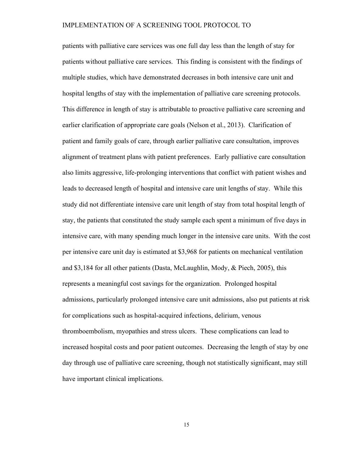patients with palliative care services was one full day less than the length of stay for patients without palliative care services. This finding is consistent with the findings of multiple studies, which have demonstrated decreases in both intensive care unit and hospital lengths of stay with the implementation of palliative care screening protocols. This difference in length of stay is attributable to proactive palliative care screening and earlier clarification of appropriate care goals (Nelson et al., 2013). Clarification of patient and family goals of care, through earlier palliative care consultation, improves alignment of treatment plans with patient preferences. Early palliative care consultation also limits aggressive, life-prolonging interventions that conflict with patient wishes and leads to decreased length of hospital and intensive care unit lengths of stay. While this study did not differentiate intensive care unit length of stay from total hospital length of stay, the patients that constituted the study sample each spent a minimum of five days in intensive care, with many spending much longer in the intensive care units. With the cost per intensive care unit day is estimated at \$3,968 for patients on mechanical ventilation and \$3,184 for all other patients (Dasta, McLaughlin, Mody, & Piech, 2005), this represents a meaningful cost savings for the organization. Prolonged hospital admissions, particularly prolonged intensive care unit admissions, also put patients at risk for complications such as hospital-acquired infections, delirium, venous thromboembolism, myopathies and stress ulcers. These complications can lead to increased hospital costs and poor patient outcomes. Decreasing the length of stay by one day through use of palliative care screening, though not statistically significant, may still have important clinical implications.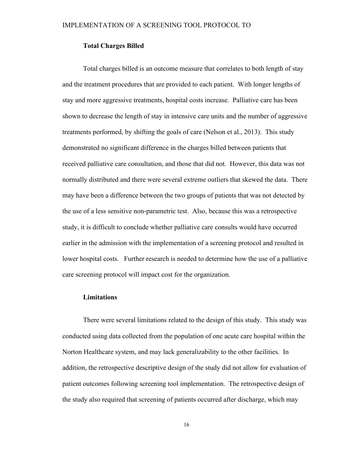### **Total Charges Billed**

Total charges billed is an outcome measure that correlates to both length of stay and the treatment procedures that are provided to each patient. With longer lengths of stay and more aggressive treatments, hospital costs increase. Palliative care has been shown to decrease the length of stay in intensive care units and the number of aggressive treatments performed, by shifting the goals of care (Nelson et al., 2013). This study demonstrated no significant difference in the charges billed between patients that received palliative care consultation, and those that did not. However, this data was not normally distributed and there were several extreme outliers that skewed the data. There may have been a difference between the two groups of patients that was not detected by the use of a less sensitive non-parametric test. Also, because this was a retrospective study, it is difficult to conclude whether palliative care consults would have occurred earlier in the admission with the implementation of a screening protocol and resulted in lower hospital costs. Further research is needed to determine how the use of a palliative care screening protocol will impact cost for the organization.

#### **Limitations**

There were several limitations related to the design of this study. This study was conducted using data collected from the population of one acute care hospital within the Norton Healthcare system, and may lack generalizability to the other facilities. In addition, the retrospective descriptive design of the study did not allow for evaluation of patient outcomes following screening tool implementation. The retrospective design of the study also required that screening of patients occurred after discharge, which may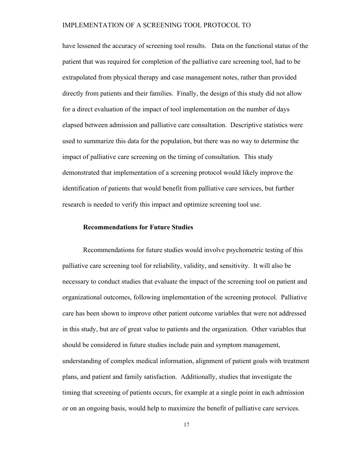have lessened the accuracy of screening tool results. Data on the functional status of the patient that was required for completion of the palliative care screening tool, had to be extrapolated from physical therapy and case management notes, rather than provided directly from patients and their families. Finally, the design of this study did not allow for a direct evaluation of the impact of tool implementation on the number of days elapsed between admission and palliative care consultation. Descriptive statistics were used to summarize this data for the population, but there was no way to determine the impact of palliative care screening on the timing of consultation. This study demonstrated that implementation of a screening protocol would likely improve the identification of patients that would benefit from palliative care services, but further research is needed to verify this impact and optimize screening tool use.

#### **Recommendations for Future Studies**

Recommendations for future studies would involve psychometric testing of this palliative care screening tool for reliability, validity, and sensitivity. It will also be necessary to conduct studies that evaluate the impact of the screening tool on patient and organizational outcomes, following implementation of the screening protocol. Palliative care has been shown to improve other patient outcome variables that were not addressed in this study, but are of great value to patients and the organization. Other variables that should be considered in future studies include pain and symptom management, understanding of complex medical information, alignment of patient goals with treatment plans, and patient and family satisfaction. Additionally, studies that investigate the timing that screening of patients occurs, for example at a single point in each admission or on an ongoing basis, would help to maximize the benefit of palliative care services.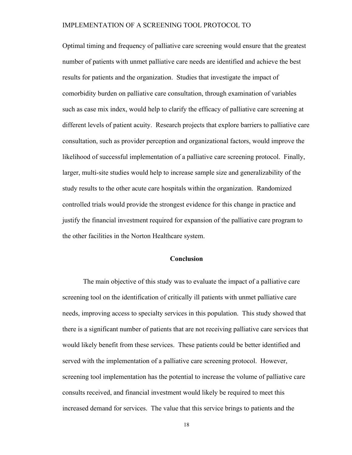Optimal timing and frequency of palliative care screening would ensure that the greatest number of patients with unmet palliative care needs are identified and achieve the best results for patients and the organization. Studies that investigate the impact of comorbidity burden on palliative care consultation, through examination of variables such as case mix index, would help to clarify the efficacy of palliative care screening at different levels of patient acuity. Research projects that explore barriers to palliative care consultation, such as provider perception and organizational factors, would improve the likelihood of successful implementation of a palliative care screening protocol. Finally, larger, multi-site studies would help to increase sample size and generalizability of the study results to the other acute care hospitals within the organization. Randomized controlled trials would provide the strongest evidence for this change in practice and justify the financial investment required for expansion of the palliative care program to the other facilities in the Norton Healthcare system.

### **Conclusion**

The main objective of this study was to evaluate the impact of a palliative care screening tool on the identification of critically ill patients with unmet palliative care needs, improving access to specialty services in this population. This study showed that there is a significant number of patients that are not receiving palliative care services that would likely benefit from these services. These patients could be better identified and served with the implementation of a palliative care screening protocol. However, screening tool implementation has the potential to increase the volume of palliative care consults received, and financial investment would likely be required to meet this increased demand for services. The value that this service brings to patients and the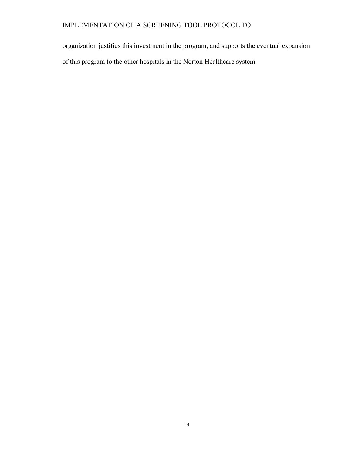organization justifies this investment in the program, and supports the eventual expansion of this program to the other hospitals in the Norton Healthcare system.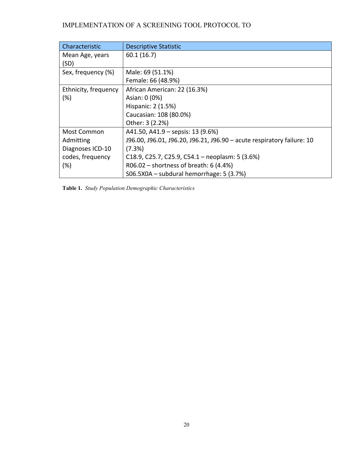| Characteristic          | <b>Descriptive Statistic</b>                                           |
|-------------------------|------------------------------------------------------------------------|
| Mean Age, years<br>(SD) | 60.1(16.7)                                                             |
| Sex, frequency (%)      | Male: 69 (51.1%)                                                       |
|                         | Female: 66 (48.9%)                                                     |
| Ethnicity, frequency    | African American: 22 (16.3%)                                           |
| (%)                     | Asian: 0 (0%)                                                          |
|                         | Hispanic: 2 (1.5%)                                                     |
|                         | Caucasian: 108 (80.0%)                                                 |
|                         | Other: 3 (2.2%)                                                        |
| Most Common             | A41.50, A41.9 – sepsis: 13 (9.6%)                                      |
| Admitting               | J96.00, J96.01, J96.20, J96.21, J96.90 - acute respiratory failure: 10 |
| Diagnoses ICD-10        | (7.3%)                                                                 |
| codes, frequency        | C18.9, C25.7, C25.9, C54.1 – neoplasm: 5 (3.6%)                        |
| (%)                     | $R06.02$ – shortness of breath: 6 (4.4%)                               |
|                         | S06.5X0A - subdural hemorrhage: 5 (3.7%)                               |

**Table 1.** *Study Population Demographic Characteristics*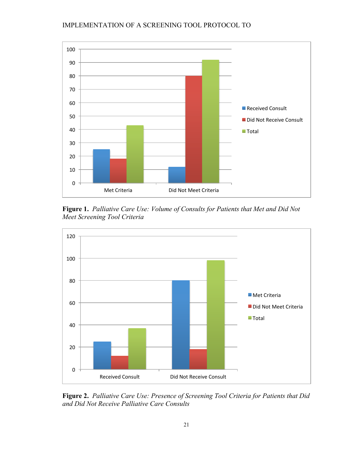

**Figure 1.** *Palliative Care Use: Volume of Consults for Patients that Met and Did Not Meet Screening Tool Criteria*



**Figure 2.** *Palliative Care Use: Presence of Screening Tool Criteria for Patients that Did and Did Not Receive Palliative Care Consults*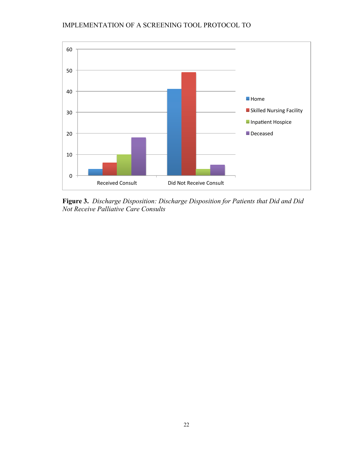

**Figure 3.** *Discharge Disposition: Discharge Disposition for Patients that Did and Did Not Receive Palliative Care Consults*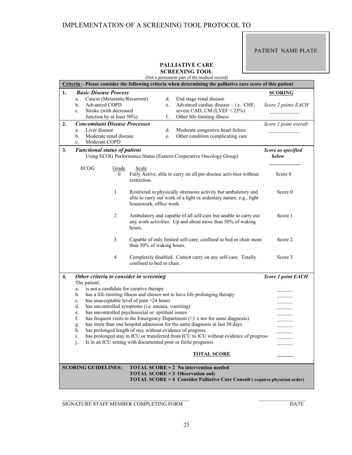#### PATIENT NAME PLATE

#### **PALLIATIVE CARE SCREENING TOOL**

(Not a permanent part of the medical record)

| Criteria - Please consider the following criteria when determining the palliative care score of this patient           |                                                                                                                                          |                       |                                                           |    |                                                                                                                                                        |                           |
|------------------------------------------------------------------------------------------------------------------------|------------------------------------------------------------------------------------------------------------------------------------------|-----------------------|-----------------------------------------------------------|----|--------------------------------------------------------------------------------------------------------------------------------------------------------|---------------------------|
| 1.                                                                                                                     | <b>Basic Disease Process</b>                                                                                                             |                       |                                                           |    |                                                                                                                                                        | <b>SCORING</b>            |
|                                                                                                                        | Cancer (Metastatic/Recurrent)<br>a.                                                                                                      |                       |                                                           | d. | End stage renal disease                                                                                                                                |                           |
|                                                                                                                        | Advanced COPD<br>b.                                                                                                                      |                       |                                                           | e. | Advanced cardiac disease - i.e. CHF,                                                                                                                   | Score 2 points EACH       |
|                                                                                                                        | Stroke (with decreased<br>$c_{\cdot}$                                                                                                    |                       |                                                           |    | severe CAD, CM (LVEF $<$ 25%)                                                                                                                          |                           |
|                                                                                                                        | function by at least 50%)                                                                                                                |                       |                                                           | f. | Other life-limiting illness                                                                                                                            |                           |
| 2.                                                                                                                     | <b>Concomitant Disease Processes</b>                                                                                                     |                       |                                                           |    |                                                                                                                                                        | Score 1 point overall     |
|                                                                                                                        | Liver disease<br>a.                                                                                                                      |                       |                                                           | d. | Moderate congestive heart failure                                                                                                                      |                           |
|                                                                                                                        | Moderate renal disease<br>b.                                                                                                             |                       |                                                           | e. | Other condition complicating cure                                                                                                                      |                           |
|                                                                                                                        | Moderate COPD<br>$\mathbf{c}$ .                                                                                                          |                       |                                                           |    |                                                                                                                                                        |                           |
| 3.                                                                                                                     | <b>Functional status of patient</b><br>Score as specified<br>Using ECOG Performance Status (Eastern Cooperative Oncology Group)<br>below |                       |                                                           |    |                                                                                                                                                        |                           |
|                                                                                                                        | ECOG                                                                                                                                     | Grade<br>$\mathbf{0}$ | Scale<br>restriction.                                     |    | Fully Active, able to carry on all pre-disease activities without                                                                                      | Score 0                   |
|                                                                                                                        |                                                                                                                                          | 1                     | housework, office work.                                   |    | Restricted in physically strenuous activity but ambulatory and<br>able to carry out work of a light or sedentary nature, e.g., light                   | Score 0                   |
|                                                                                                                        |                                                                                                                                          | 2                     | hours.                                                    |    | Ambulatory and capable of all self-care but unable to carry out<br>any work activities. Up and about more than 50% of waking                           | Score 1                   |
|                                                                                                                        |                                                                                                                                          | 3                     | than 50% of waking hours.                                 |    | Capable of only limited self-care; confined to bed or chair more                                                                                       | Score 2                   |
|                                                                                                                        |                                                                                                                                          | 4                     | confined to bed or chair.                                 |    | Completely disabled. Cannot carry on any self-care. Totally                                                                                            | Score 3                   |
| 4.                                                                                                                     | Other criteria to consider in screening                                                                                                  |                       |                                                           |    |                                                                                                                                                        | <b>Score 1 point EACH</b> |
|                                                                                                                        | The patient:                                                                                                                             |                       |                                                           |    |                                                                                                                                                        |                           |
|                                                                                                                        | a.                                                                                                                                       |                       | is not a candidate for curative therapy                   |    |                                                                                                                                                        |                           |
|                                                                                                                        | b.                                                                                                                                       |                       |                                                           |    | has a life-limiting illness and chosen not to have life prolonging therapy                                                                             |                           |
|                                                                                                                        | c.                                                                                                                                       |                       | has unacceptable level of pain >24 hours                  |    |                                                                                                                                                        |                           |
|                                                                                                                        | d.                                                                                                                                       |                       | has uncontrolled symptoms (i.e. nausea, vomiting)         |    |                                                                                                                                                        |                           |
|                                                                                                                        | e.                                                                                                                                       |                       | has uncontrolled psychosocial or spiritual issues         |    |                                                                                                                                                        |                           |
|                                                                                                                        | f.                                                                                                                                       |                       |                                                           |    | has frequent visits to the Emergency Department $(>1 x \text{ mo} for same diagnosis)$                                                                 |                           |
|                                                                                                                        | g.                                                                                                                                       |                       |                                                           |    | has more than one hospital admission for the same diagnosis in last 30 days                                                                            |                           |
|                                                                                                                        | h.                                                                                                                                       |                       | has prolonged length of stay without evidence of progress |    |                                                                                                                                                        |                           |
|                                                                                                                        | i.                                                                                                                                       |                       |                                                           |    | has prolonged stay in ICU or transferred from ICU to ICU without evidence of progress<br>Is in an ICU setting with documented poor or futile prognosis |                           |
|                                                                                                                        | $1$ .                                                                                                                                    |                       |                                                           |    |                                                                                                                                                        |                           |
|                                                                                                                        |                                                                                                                                          |                       |                                                           |    | <b>TOTAL SCORE</b>                                                                                                                                     |                           |
| <b>SCORING GUIDELINES:</b><br><b>TOTAL SCORE = 2 No intervention needed</b>                                            |                                                                                                                                          |                       |                                                           |    |                                                                                                                                                        |                           |
| <b>TOTAL SCORE = 3 Observation only</b><br>TOTAL SCORE = 4 Consider Palliative Care Consult (requires physician order) |                                                                                                                                          |                       |                                                           |    |                                                                                                                                                        |                           |

SIGNATURE STAFF MEMBER COMPLETING FORM DATE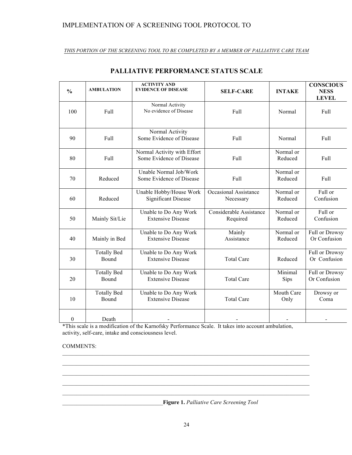#### *THIS PORTION OF THE SCREENING TOOL TO BE COMPLETED BY A MEMBER OF PALLIATIVE CARE TEAM*

| $\frac{0}{0}$    | <b>AMBULATION</b>           | <b>ACTIVITY AND</b><br><b>EVIDENCE OF DISEASE</b>       | <b>SELF-CARE</b>                    | <b>INTAKE</b>        | <b>CONSCIOUS</b><br><b>NESS</b><br><b>LEVEL</b> |
|------------------|-----------------------------|---------------------------------------------------------|-------------------------------------|----------------------|-------------------------------------------------|
| 100              | Full                        | Normal Activity<br>No evidence of Disease               | Full                                | Normal               | Full                                            |
| 90               | Full                        | Normal Activity<br>Some Evidence of Disease             | Full                                | Normal               | Full                                            |
| 80               | Full                        | Normal Activity with Effort<br>Some Evidence of Disease | Full                                | Normal or<br>Reduced | Full                                            |
| 70               | Reduced                     | Unable Normal Job/Work<br>Some Evidence of Disease      | Full                                | Normal or<br>Reduced | Full                                            |
| 60               | Reduced                     | Unable Hobby/House Work<br><b>Significant Disease</b>   | Occasional Assistance<br>Necessary  | Normal or<br>Reduced | Full or<br>Confusion                            |
| 50               | Mainly Sit/Lie              | Unable to Do Any Work<br><b>Extensive Disease</b>       | Considerable Assistance<br>Required | Normal or<br>Reduced | Full or<br>Confusion                            |
| 40               | Mainly in Bed               | Unable to Do Any Work<br><b>Extensive Disease</b>       | Mainly<br>Assistance                | Normal or<br>Reduced | Full or Drowsy<br>Or Confusion                  |
| 30               | <b>Totally Bed</b><br>Bound | Unable to Do Any Work<br><b>Extensive Disease</b>       | <b>Total Care</b>                   | Reduced              | Full or Drowsy<br>Or Confusion                  |
| 20               | <b>Totally Bed</b><br>Bound | Unable to Do Any Work<br><b>Extensive Disease</b>       | <b>Total Care</b>                   | Minimal<br>Sips      | Full or Drowsy<br>Or Confusion                  |
| 10               | <b>Totally Bed</b><br>Bound | Unable to Do Any Work<br><b>Extensive Disease</b>       | <b>Total Care</b>                   | Mouth Care<br>Only   | Drowsy or<br>Coma                               |
| $\boldsymbol{0}$ | Death                       |                                                         |                                     |                      |                                                 |

# **PALLIATIVE PERFORMANCE STATUS SCALE**

\*This scale is a modification of the Karnofsky Performance Scale. It takes into account ambulation, activity, self-care, intake and consciousness level.

### COMMENTS:

\_\_\_\_\_\_\_\_\_\_\_\_\_\_\_\_\_\_\_\_\_\_\_\_\_\_\_\_\_\_\_\_\_\_\_**Figure 1.** *Palliative Care Screening Tool*

 $\_$  , and the state of the state of the state of the state of the state of the state of the state of the state of the state of the state of the state of the state of the state of the state of the state of the state of the  $\_$  , and the state of the state of the state of the state of the state of the state of the state of the state of the state of the state of the state of the state of the state of the state of the state of the state of the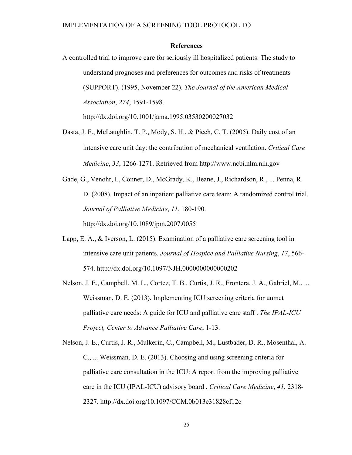#### **References**

A controlled trial to improve care for seriously ill hospitalized patients: The study to understand prognoses and preferences for outcomes and risks of treatments (SUPPORT). (1995, November 22). *The Journal of the American Medical Association*, *274*, 1591-1598.

http://dx.doi.org/10.1001/jama.1995.03530200027032

Dasta, J. F., McLaughlin, T. P., Mody, S. H., & Piech, C. T. (2005). Daily cost of an intensive care unit day: the contribution of mechanical ventilation. *Critical Care Medicine*, *33*, 1266-1271. Retrieved from http://www.ncbi.nlm.nih.gov

Gade, G., Venohr, I., Conner, D., McGrady, K., Beane, J., Richardson, R., ... Penna, R. D. (2008). Impact of an inpatient palliative care team: A randomized control trial. *Journal of Palliative Medicine*, *11*, 180-190. http://dx.doi.org/10.1089/jpm.2007.0055

- Lapp, E. A., & Iverson, L. (2015). Examination of a palliative care screening tool in intensive care unit patients. *Journal of Hospice and Palliative Nursing*, *17*, 566- 574. http://dx.doi.org/10.1097/NJH.0000000000000202
- Nelson, J. E., Campbell, M. L., Cortez, T. B., Curtis, J. R., Frontera, J. A., Gabriel, M., ... Weissman, D. E. (2013). Implementing ICU screening criteria for unmet palliative care needs: A guide for ICU and palliative care staff . *The IPAL-ICU Project, Center to Advance Palliative Care*, 1-13.
- Nelson, J. E., Curtis, J. R., Mulkerin, C., Campbell, M., Lustbader, D. R., Mosenthal, A. C., ... Weissman, D. E. (2013). Choosing and using screening criteria for palliative care consultation in the ICU: A report from the improving palliative care in the ICU (IPAL-ICU) advisory board . *Critical Care Medicine*, *41*, 2318- 2327. http://dx.doi.org/10.1097/CCM.0b013e31828cf12c